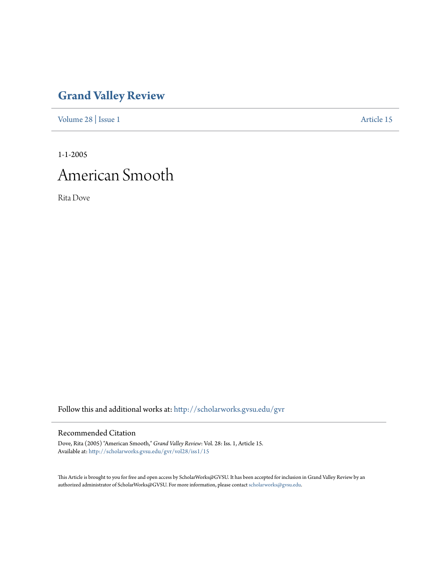## **[Grand Valley Review](http://scholarworks.gvsu.edu/gvr?utm_source=scholarworks.gvsu.edu%2Fgvr%2Fvol28%2Fiss1%2F15&utm_medium=PDF&utm_campaign=PDFCoverPages)**

[Volume 28](http://scholarworks.gvsu.edu/gvr/vol28?utm_source=scholarworks.gvsu.edu%2Fgvr%2Fvol28%2Fiss1%2F15&utm_medium=PDF&utm_campaign=PDFCoverPages) | [Issue 1](http://scholarworks.gvsu.edu/gvr/vol28/iss1?utm_source=scholarworks.gvsu.edu%2Fgvr%2Fvol28%2Fiss1%2F15&utm_medium=PDF&utm_campaign=PDFCoverPages) [Article 15](http://scholarworks.gvsu.edu/gvr/vol28/iss1/15?utm_source=scholarworks.gvsu.edu%2Fgvr%2Fvol28%2Fiss1%2F15&utm_medium=PDF&utm_campaign=PDFCoverPages)

1-1-2005

## American Smooth

Rita Dove

Follow this and additional works at: [http://scholarworks.gvsu.edu/gvr](http://scholarworks.gvsu.edu/gvr?utm_source=scholarworks.gvsu.edu%2Fgvr%2Fvol28%2Fiss1%2F15&utm_medium=PDF&utm_campaign=PDFCoverPages)

## Recommended Citation

Dove, Rita (2005) "American Smooth," *Grand Valley Review*: Vol. 28: Iss. 1, Article 15. Available at: [http://scholarworks.gvsu.edu/gvr/vol28/iss1/15](http://scholarworks.gvsu.edu/gvr/vol28/iss1/15?utm_source=scholarworks.gvsu.edu%2Fgvr%2Fvol28%2Fiss1%2F15&utm_medium=PDF&utm_campaign=PDFCoverPages)

This Article is brought to you for free and open access by ScholarWorks@GVSU. It has been accepted for inclusion in Grand Valley Review by an authorized administrator of ScholarWorks@GVSU. For more information, please contact [scholarworks@gvsu.edu.](mailto:scholarworks@gvsu.edu)